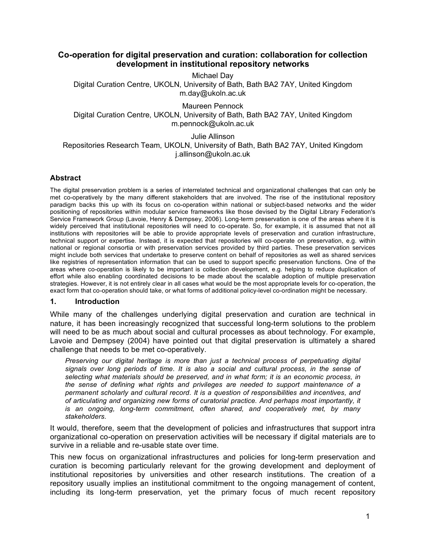# **Co-operation for digital preservation and curation: collaboration for collection development in institutional repository networks**

Michael Day Digital Curation Centre, UKOLN, University of Bath, Bath BA2 7AY, United Kingdom m.day@ukoln.ac.uk

Maureen Pennock Digital Curation Centre, UKOLN, University of Bath, Bath BA2 7AY, United Kingdom m.pennock@ukoln.ac.uk

Julie Allinson Repositories Research Team, UKOLN, University of Bath, Bath BA2 7AY, United Kingdom j.allinson@ukoln.ac.uk

### **Abstract**

The digital preservation problem is a series of interrelated technical and organizational challenges that can only be met co-operatively by the many different stakeholders that are involved. The rise of the institutional repository paradigm backs this up with its focus on co-operation within national or subject-based networks and the wider positioning of repositories within modular service frameworks like those devised by the Digital Library Federation's Service Framework Group (Lavoie, Henry & Dempsey, 2006). Long-term preservation is one of the areas where it is widely perceived that institutional repositories will need to co-operate. So, for example, it is assumed that not all institutions with repositories will be able to provide appropriate levels of preservation and curation infrastructure, technical support or expertise. Instead, it is expected that repositories will co-operate on preservation, e.g. within national or regional consortia or with preservation services provided by third parties. These preservation services might include both services that undertake to preserve content on behalf of repositories as well as shared services like registries of representation information that can be used to support specific preservation functions. One of the areas where co-operation is likely to be important is collection development, e.g. helping to reduce duplication of effort while also enabling coordinated decisions to be made about the scalable adoption of multiple preservation strategies. However, it is not entirely clear in all cases what would be the most appropriate levels for co-operation, the exact form that co-operation should take, or what forms of additional policy-level co-ordination might be necessary.

#### **1. Introduction**

While many of the challenges underlying digital preservation and curation are technical in nature, it has been increasingly recognized that successful long-term solutions to the problem will need to be as much about social and cultural processes as about technology. For example, Lavoie and Dempsey (2004) have pointed out that digital preservation is ultimately a shared challenge that needs to be met co-operatively.

*Preserving our digital heritage is more than just a technical process of perpetuating digital signals over long periods of time. It is also a social and cultural process, in the sense of selecting what materials should be preserved, and in what form; it is an economic process, in the sense of defining what rights and privileges are needed to support maintenance of a permanent scholarly and cultural record. It is a question of responsibilities and incentives, and of articulating and organizing new forms of curatorial practice. And perhaps most importantly, it is an ongoing, long-term commitment, often shared, and cooperatively met, by many stakeholders.*

It would, therefore, seem that the development of policies and infrastructures that support intra organizational co-operation on preservation activities will be necessary if digital materials are to survive in a reliable and re-usable state over time.

This new focus on organizational infrastructures and policies for long-term preservation and curation is becoming particularly relevant for the growing development and deployment of institutional repositories by universities and other research institutions. The creation of a repository usually implies an institutional commitment to the ongoing management of content, including its long-term preservation, yet the primary focus of much recent repository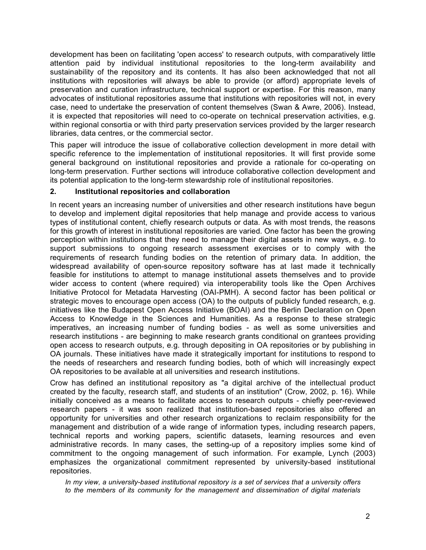development has been on facilitating 'open access' to research outputs, with comparatively little attention paid by individual institutional repositories to the long-term availability and sustainability of the repository and its contents. It has also been acknowledged that not all institutions with repositories will always be able to provide (or afford) appropriate levels of preservation and curation infrastructure, technical support or expertise. For this reason, many advocates of institutional repositories assume that institutions with repositories will not, in every case, need to undertake the preservation of content themselves (Swan & Awre, 2006). Instead, it is expected that repositories will need to co-operate on technical preservation activities, e.g. within regional consortia or with third party preservation services provided by the larger research libraries, data centres, or the commercial sector.

This paper will introduce the issue of collaborative collection development in more detail with specific reference to the implementation of institutional repositories. It will first provide some general background on institutional repositories and provide a rationale for co-operating on long-term preservation. Further sections will introduce collaborative collection development and its potential application to the long-term stewardship role of institutional repositories.

### **2. Institutional repositories and collaboration**

In recent years an increasing number of universities and other research institutions have begun to develop and implement digital repositories that help manage and provide access to various types of institutional content, chiefly research outputs or data. As with most trends, the reasons for this growth of interest in institutional repositories are varied. One factor has been the growing perception within institutions that they need to manage their digital assets in new ways, e.g. to support submissions to ongoing research assessment exercises or to comply with the requirements of research funding bodies on the retention of primary data. In addition, the widespread availability of open-source repository software has at last made it technically feasible for institutions to attempt to manage institutional assets themselves and to provide wider access to content (where required) via interoperability tools like the Open Archives Initiative Protocol for Metadata Harvesting (OAI-PMH). A second factor has been political or strategic moves to encourage open access (OA) to the outputs of publicly funded research, e.g. initiatives like the Budapest Open Access Initiative (BOAI) and the Berlin Declaration on Open Access to Knowledge in the Sciences and Humanities. As a response to these strategic imperatives, an increasing number of funding bodies - as well as some universities and research institutions - are beginning to make research grants conditional on grantees providing open access to research outputs, e.g. through depositing in OA repositories or by publishing in OA journals. These initiatives have made it strategically important for institutions to respond to the needs of researchers and research funding bodies, both of which will increasingly expect OA repositories to be available at all universities and research institutions.

Crow has defined an institutional repository as "a digital archive of the intellectual product created by the faculty, research staff, and students of an institution" (Crow, 2002, p. 16). While initially conceived as a means to facilitate access to research outputs - chiefly peer-reviewed research papers - it was soon realized that institution-based repositories also offered an opportunity for universities and other research organizations to reclaim responsibility for the management and distribution of a wide range of information types, including research papers, technical reports and working papers, scientific datasets, learning resources and even administrative records. In many cases, the setting-up of a repository implies some kind of commitment to the ongoing management of such information. For example, Lynch (2003) emphasizes the organizational commitment represented by university-based institutional repositories.

*In my view, a university-based institutional repository is a set of services that a university offers to the members of its community for the management and dissemination of digital materials*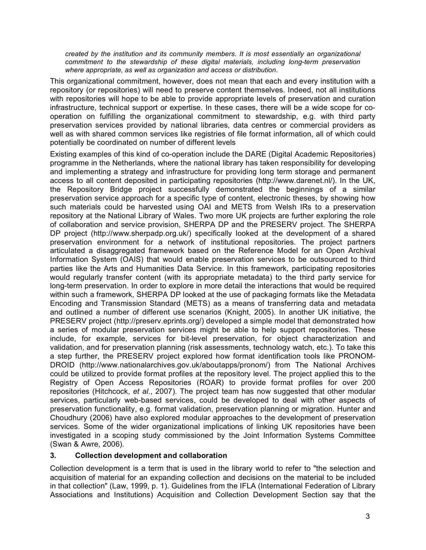*created by the institution and its community members. It is most essentially an organizational commitment to the stewardship of these digital materials, including long-term preservation where appropriate, as well as organization and access or distribution.*

This organizational commitment, however, does not mean that each and every institution with a repository (or repositories) will need to preserve content themselves. Indeed, not all institutions with repositories will hope to be able to provide appropriate levels of preservation and curation infrastructure, technical support or expertise. In these cases, there will be a wide scope for cooperation on fulfilling the organizational commitment to stewardship, e.g. with third party preservation services provided by national libraries, data centres or commercial providers as well as with shared common services like registries of file format information, all of which could potentially be coordinated on number of different levels

Existing examples of this kind of co-operation include the DARE (Digital Academic Repositories) programme in the Netherlands, where the national library has taken responsibility for developing and implementing a strategy and infrastructure for providing long term storage and permanent access to all content deposited in participating repositories (http://www.darenet.nl/). In the UK, the Repository Bridge project successfully demonstrated the beginnings of a similar preservation service approach for a specific type of content, electronic theses, by showing how such materials could be harvested using OAI and METS from Welsh IRs to a preservation repository at the National Library of Wales. Two more UK projects are further exploring the role of collaboration and service provision, SHERPA DP and the PRESERV project. The SHERPA DP project (http://www.sherpadp.org.uk/) specifically looked at the development of a shared preservation environment for a network of institutional repositories. The project partners articulated a disaggregated framework based on the Reference Model for an Open Archival Information System (OAIS) that would enable preservation services to be outsourced to third parties like the Arts and Humanities Data Service. In this framework, participating repositories would regularly transfer content (with its appropriate metadata) to the third party service for long-term preservation. In order to explore in more detail the interactions that would be required within such a framework, SHERPA DP looked at the use of packaging formats like the Metadata Encoding and Transmission Standard (METS) as a means of transferring data and metadata and outlined a number of different use scenarios (Knight, 2005). In another UK initiative, the PRESERV project (http://preserv.eprints.org/) developed a simple model that demonstrated how a series of modular preservation services might be able to help support repositories. These include, for example, services for bit-level preservation, for object characterization and validation, and for preservation planning (risk assessments, technology watch, etc.). To take this a step further, the PRESERV project explored how format identification tools like PRONOM-DROID (http://www.nationalarchives.gov.uk/aboutapps/pronom/) from The National Archives could be utilized to provide format profiles at the repository level. The project applied this to the Registry of Open Access Repositories (ROAR) to provide format profiles for over 200 repositories (Hitchcock, *et al*., 2007). The project team has now suggested that other modular services, particularly web-based services, could be developed to deal with other aspects of preservation functionality, e.g. format validation, preservation planning or migration. Hunter and Choudhury (2006) have also explored modular approaches to the development of preservation services. Some of the wider organizational implications of linking UK repositories have been investigated in a scoping study commissioned by the Joint Information Systems Committee (Swan & Awre, 2006).

### **3. Collection development and collaboration**

Collection development is a term that is used in the library world to refer to "the selection and acquisition of material for an expanding collection and decisions on the material to be included in that collection" (Law, 1999, p. 1). Guidelines from the IFLA (International Federation of Library Associations and Institutions) Acquisition and Collection Development Section say that the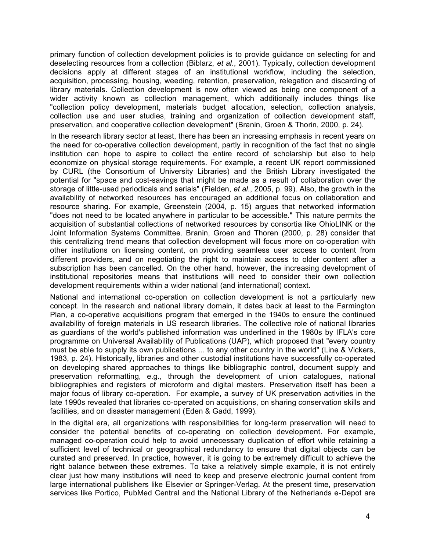primary function of collection development policies is to provide guidance on selecting for and deselecting resources from a collection (Biblarz, *et al*., 2001). Typically, collection development decisions apply at different stages of an institutional workflow, including the selection, acquisition, processing, housing, weeding, retention, preservation, relegation and discarding of library materials. Collection development is now often viewed as being one component of a wider activity known as collection management, which additionally includes things like "collection policy development, materials budget allocation, selection, collection analysis, collection use and user studies, training and organization of collection development staff, preservation, and cooperative collection development" (Branin, Groen & Thorin, 2000, p. 24).

In the research library sector at least, there has been an increasing emphasis in recent years on the need for co-operative collection development, partly in recognition of the fact that no single institution can hope to aspire to collect the entire record of scholarship but also to help economize on physical storage requirements. For example, a recent UK report commissioned by CURL (the Consortium of University Libraries) and the British Library investigated the potential for "space and cost-savings that might be made as a result of collaboration over the storage of little-used periodicals and serials" (Fielden, *et al*., 2005, p. 99). Also, the growth in the availability of networked resources has encouraged an additional focus on collaboration and resource sharing. For example, Greenstein (2004, p. 15) argues that networked information "does not need to be located anywhere in particular to be accessible." This nature permits the acquisition of substantial collections of networked resources by consortia like OhioLINK or the Joint Information Systems Committee. Branin, Groen and Thoren (2000, p. 28) consider that this centralizing trend means that collection development will focus more on co-operation with other institutions on licensing content, on providing seamless user access to content from different providers, and on negotiating the right to maintain access to older content after a subscription has been cancelled. On the other hand, however, the increasing development of institutional repositories means that institutions will need to consider their own collection development requirements within a wider national (and international) context.

National and international co-operation on collection development is not a particularly new concept. In the research and national library domain, it dates back at least to the Farmington Plan, a co-operative acquisitions program that emerged in the 1940s to ensure the continued availability of foreign materials in US research libraries. The collective role of national libraries as guardians of the world's published information was underlined in the 1980s by IFLA's core programme on Universal Availability of Publications (UAP), which proposed that "every country must be able to supply its own publications ... to any other country in the world" (Line & Vickers, 1983, p. 24). Historically, libraries and other custodial institutions have successfully co-operated on developing shared approaches to things like bibliographic control, document supply and preservation reformatting, e.g., through the development of union catalogues, national bibliographies and registers of microform and digital masters. Preservation itself has been a major focus of library co-operation. For example, a survey of UK preservation activities in the late 1990s revealed that libraries co-operated on acquisitions, on sharing conservation skills and facilities, and on disaster management (Eden & Gadd, 1999).

In the digital era, all organizations with responsibilities for long-term preservation will need to consider the potential benefits of co-operating on collection development. For example, managed co-operation could help to avoid unnecessary duplication of effort while retaining a sufficient level of technical or geographical redundancy to ensure that digital objects can be curated and preserved. In practice, however, it is going to be extremely difficult to achieve the right balance between these extremes. To take a relatively simple example, it is not entirely clear just how many institutions will need to keep and preserve electronic journal content from large international publishers like Elsevier or Springer-Verlag. At the present time, preservation services like Portico, PubMed Central and the National Library of the Netherlands e-Depot are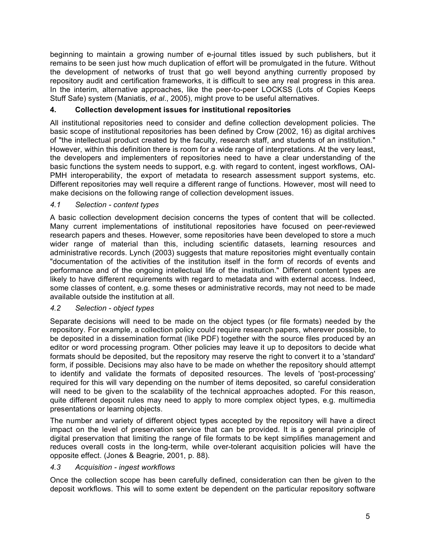beginning to maintain a growing number of e-journal titles issued by such publishers, but it remains to be seen just how much duplication of effort will be promulgated in the future. Without the development of networks of trust that go well beyond anything currently proposed by repository audit and certification frameworks, it is difficult to see any real progress in this area. In the interim, alternative approaches, like the peer-to-peer LOCKSS (Lots of Copies Keeps Stuff Safe) system (Maniatis, *et al*., 2005), might prove to be useful alternatives.

# **4. Collection development issues for institutional repositories**

All institutional repositories need to consider and define collection development policies. The basic scope of institutional repositories has been defined by Crow (2002, 16) as digital archives of "the intellectual product created by the faculty, research staff, and students of an institution." However, within this definition there is room for a wide range of interpretations. At the very least, the developers and implementers of repositories need to have a clear understanding of the basic functions the system needs to support, e.g. with regard to content, ingest workflows, OAI-PMH interoperability, the export of metadata to research assessment support systems, etc. Different repositories may well require a different range of functions. However, most will need to make decisions on the following range of collection development issues.

### *4.1 Selection - content types*

A basic collection development decision concerns the types of content that will be collected. Many current implementations of institutional repositories have focused on peer-reviewed research papers and theses. However, some repositories have been developed to store a much wider range of material than this, including scientific datasets, learning resources and administrative records. Lynch (2003) suggests that mature repositories might eventually contain "documentation of the activities of the institution itself in the form of records of events and performance and of the ongoing intellectual life of the institution." Different content types are likely to have different requirements with regard to metadata and with external access. Indeed, some classes of content, e.g. some theses or administrative records, may not need to be made available outside the institution at all.

### *4.2 Selection - object types*

Separate decisions will need to be made on the object types (or file formats) needed by the repository. For example, a collection policy could require research papers, wherever possible, to be deposited in a dissemination format (like PDF) together with the source files produced by an editor or word processing program. Other policies may leave it up to depositors to decide what formats should be deposited, but the repository may reserve the right to convert it to a 'standard' form, if possible. Decisions may also have to be made on whether the repository should attempt to identify and validate the formats of deposited resources. The levels of 'post-processing' required for this will vary depending on the number of items deposited, so careful consideration will need to be given to the scalability of the technical approaches adopted. For this reason, quite different deposit rules may need to apply to more complex object types, e.g. multimedia presentations or learning objects.

The number and variety of different object types accepted by the repository will have a direct impact on the level of preservation service that can be provided. It is a general principle of digital preservation that limiting the range of file formats to be kept simplifies management and reduces overall costs in the long-term, while over-tolerant acquisition policies will have the opposite effect. (Jones & Beagrie, 2001, p. 88).

### *4.3 Acquisition - ingest workflows*

Once the collection scope has been carefully defined, consideration can then be given to the deposit workflows. This will to some extent be dependent on the particular repository software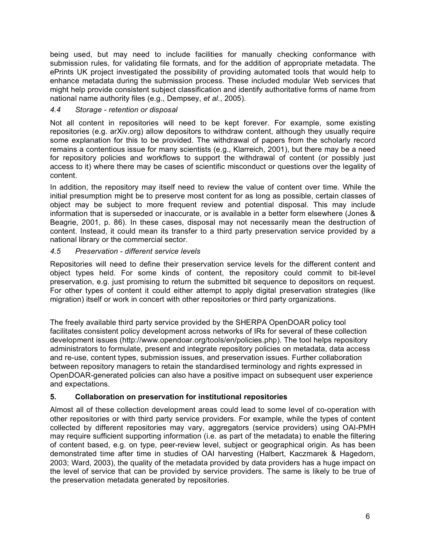being used, but may need to include facilities for manually checking conformance with submission rules, for validating file formats, and for the addition of appropriate metadata. The ePrints UK project investigated the possibility of providing automated tools that would help to enhance metadata during the submission process. These included modular Web services that might help provide consistent subject classification and identify authoritative forms of name from national name authority files (e.g., Dempsey, *et al*., 2005).

### *4.4 Storage - retention or disposal*

Not all content in repositories will need to be kept forever. For example, some existing repositories (e.g. arXiv.org) allow depositors to withdraw content, although they usually require some explanation for this to be provided. The withdrawal of papers from the scholarly record remains a contentious issue for many scientists (e.g., Klarreich, 2001), but there may be a need for repository policies and workflows to support the withdrawal of content (or possibly just access to it) where there may be cases of scientific misconduct or questions over the legality of content.

In addition, the repository may itself need to review the value of content over time. While the initial presumption might be to preserve most content for as long as possible, certain classes of object may be subject to more frequent review and potential disposal. This may include information that is superseded or inaccurate, or is available in a better form elsewhere (Jones & Beagrie, 2001, p. 86). In these cases, disposal may not necessarily mean the destruction of content. Instead, it could mean its transfer to a third party preservation service provided by a national library or the commercial sector.

#### *4.5 Preservation - different service levels*

Repositories will need to define their preservation service levels for the different content and object types held. For some kinds of content, the repository could commit to bit-level preservation, e.g. just promising to return the submitted bit sequence to depositors on request. For other types of content it could either attempt to apply digital preservation strategies (like migration) itself or work in concert with other repositories or third party organizations.

The freely available third party service provided by the SHERPA OpenDOAR policy tool facilitates consistent policy development across networks of IRs for several of these collection development issues (http://www.opendoar.org/tools/en/policies.php). The tool helps repository administrators to formulate, present and integrate repository policies on metadata, data access and re-use, content types, submission issues, and preservation issues. Further collaboration between repository managers to retain the standardised terminology and rights expressed in OpenDOAR-generated policies can also have a positive impact on subsequent user experience and expectations.

### **5. Collaboration on preservation for institutional repositories**

Almost all of these collection development areas could lead to some level of co-operation with other repositories or with third party service providers. For example, while the types of content collected by different repositories may vary, aggregators (service providers) using OAI-PMH may require sufficient supporting information (i.e. as part of the metadata) to enable the filtering of content based, e.g. on type, peer-review level, subject or geographical origin. As has been demonstrated time after time in studies of OAI harvesting (Halbert, Kaczmarek & Hagedorn, 2003; Ward, 2003), the quality of the metadata provided by data providers has a huge impact on the level of service that can be provided by service providers. The same is likely to be true of the preservation metadata generated by repositories.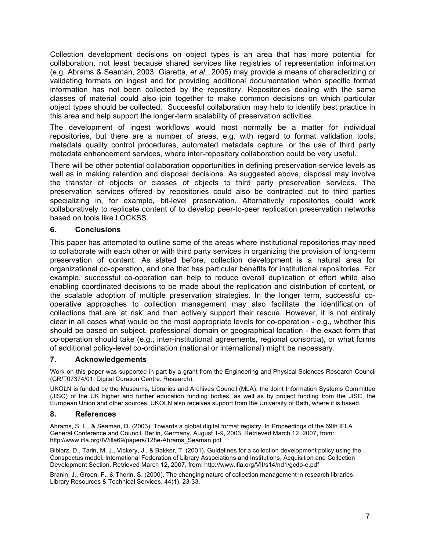Collection development decisions on object types is an area that has more potential for collaboration, not least because shared services like registries of representation information (e.g. Abrams & Seaman, 2003; Giaretta, *et al*., 2005) may provide a means of characterizing or validating formats on ingest and for providing additional documentation when specific format information has not been collected by the repository. Repositories dealing with the same classes of material could also join together to make common decisions on which particular object types should be collected. Successful collaboration may help to identify best practice in this area and help support the longer-term scalability of preservation activities.

The development of ingest workflows would most normally be a matter for individual repositories, but there are a number of areas, e.g. with regard to format validation tools, metadata quality control procedures, automated metadata capture, or the use of third party metadata enhancement services, where inter-repository collaboration could be very useful.

There will be other potential collaboration opportunities in defining preservation service levels as well as in making retention and disposal decisions. As suggested above, disposal may involve the transfer of objects or classes of objects to third party preservation services. The preservation services offered by repositories could also be contracted out to third parties specializing in, for example, bit-level preservation. Alternatively repositories could work collaboratively to replicate content of to develop peer-to-peer replication preservation networks based on tools like LOCKSS.

### **6. Conclusions**

This paper has attempted to outline some of the areas where institutional repositories may need to collaborate with each other or with third party services in organizing the provision of long-term preservation of content. As stated before, collection development is a natural area for organizational co-operation, and one that has particular benefits for institutional repositories. For example, successful co-operation can help to reduce overall duplication of effort while also enabling coordinated decisions to be made about the replication and distribution of content, or the scalable adoption of multiple preservation strategies. In the longer term, successful cooperative approaches to collection management may also facilitate the identification of collections that are 'at risk' and then actively support their rescue. However, it is not entirely clear in all cases what would be the most appropriate levels for co-operation - e.g., whether this should be based on subject, professional domain or geographical location - the exact form that co-operation should take (e.g., inter-institutional agreements, regional consortia), or what forms of additional policy-level co-ordination (national or international) might be necessary.

# **7. Acknowledgements**

Work on this paper was supported in part by a grant from the Engineering and Physical Sciences Research Council (GR/T07374/01, Digital Curation Centre: Research).

UKOLN is funded by the Museums, Libraries and Archives Council (MLA), the Joint Information Systems Committee (JISC) of the UK higher and further education funding bodies, as well as by project funding from the JISC, the European Union and other sources. UKOLN also receives support from the University of Bath, where it is based.

### **8. References**

Abrams, S. L., & Seaman, D. (2003). Towards a global digital format registry. In Proceedings of the 69th IFLA General Conference and Council, Berlin, Germany, August 1-9, 2003. Retrieved March 12, 2007, from: http://www.ifla.org/IV/ifla69/papers/128e-Abrams\_Seaman.pdf

Biblarz, D., Tarin, M. J., Vickery, J., & Bakker, T. (2001). Guidelines for a collection development policy using the Conspectus model. International Federation of Library Associations and Institutions, Acquisition and Collection Development Section. Retrieved March 12, 2007, from: http://www.ifla.org/VII/s14/nd1/gcdp-e.pdf

Branin, J., Groen, F., & Thorin, S. (2000). The changing nature of collection management in research libraries. Library Resources & Technical Services, 44(1), 23-33.